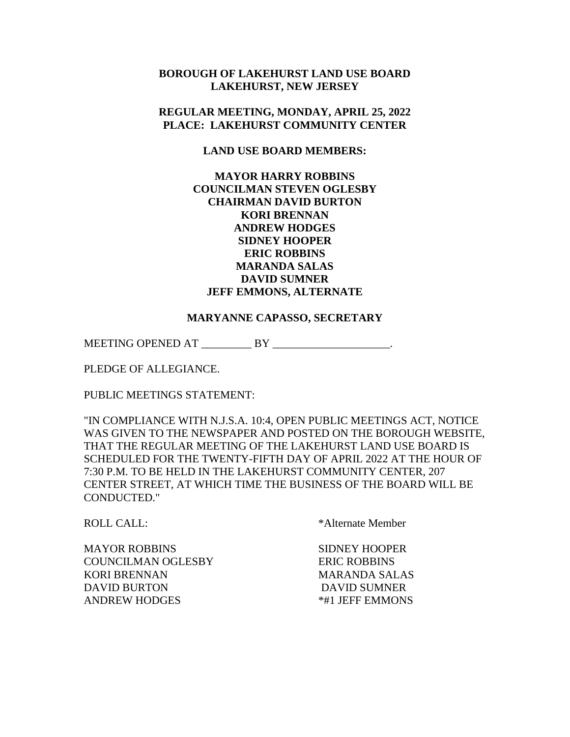## **BOROUGH OF LAKEHURST LAND USE BOARD LAKEHURST, NEW JERSEY**

## **REGULAR MEETING, MONDAY, APRIL 25, 2022 PLACE: LAKEHURST COMMUNITY CENTER**

### **LAND USE BOARD MEMBERS:**

# **MAYOR HARRY ROBBINS COUNCILMAN STEVEN OGLESBY CHAIRMAN DAVID BURTON KORI BRENNAN ANDREW HODGES SIDNEY HOOPER ERIC ROBBINS MARANDA SALAS DAVID SUMNER JEFF EMMONS, ALTERNATE**

#### **MARYANNE CAPASSO, SECRETARY**

MEETING OPENED AT BY THE BOOST BY

PLEDGE OF ALLEGIANCE.

PUBLIC MEETINGS STATEMENT:

"IN COMPLIANCE WITH N.J.S.A. 10:4, OPEN PUBLIC MEETINGS ACT, NOTICE WAS GIVEN TO THE NEWSPAPER AND POSTED ON THE BOROUGH WEBSITE, THAT THE REGULAR MEETING OF THE LAKEHURST LAND USE BOARD IS SCHEDULED FOR THE TWENTY-FIFTH DAY OF APRIL 2022 AT THE HOUR OF 7:30 P.M. TO BE HELD IN THE LAKEHURST COMMUNITY CENTER, 207 CENTER STREET, AT WHICH TIME THE BUSINESS OF THE BOARD WILL BE CONDUCTED."

ROLL CALL:  $A \times A$ lternate Member

MAYOR ROBBINS SIDNEY HOOPER COUNCILMAN OGLESBY ERIC ROBBINS KORI BRENNAN MARANDA SALAS DAVID BURTON DAVID SUMNER ANDREW HODGES  $*#1$  JEFF EMMONS